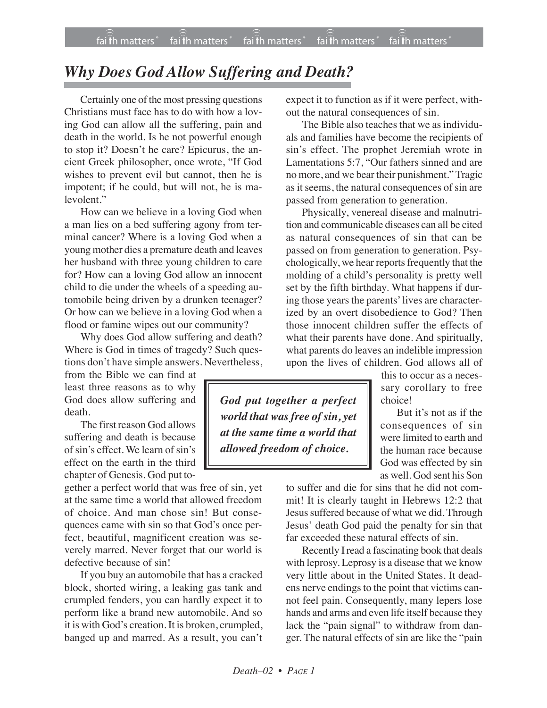## *Why Does God Allow Suffering and Death?*

Certainly one of the most pressing questions Christians must face has to do with how a loving God can allow all the suffering, pain and death in the world. Is he not powerful enough to stop it? Doesn't he care? Epicurus, the ancient Greek philosopher, once wrote, "If God wishes to prevent evil but cannot, then he is impotent; if he could, but will not, he is malevolent."

How can we believe in a loving God when a man lies on a bed suffering agony from terminal cancer? Where is a loving God when a young mother dies a premature death and leaves her husband with three young children to care for? How can a loving God allow an innocent child to die under the wheels of a speeding automobile being driven by a drunken teenager? Or how can we believe in a loving God when a flood or famine wipes out our community?

Why does God allow suffering and death? Where is God in times of tragedy? Such questions don't have simple answers. Nevertheless,

from the Bible we can find at least three reasons as to why God does allow suffering and death.

The first reason God allows suffering and death is because of sin's effect. We learn of sin's effect on the earth in the third chapter of Genesis. God put to-

gether a perfect world that was free of sin, yet at the same time a world that allowed freedom of choice. And man chose sin! But consequences came with sin so that God's once perfect, beautiful, magnificent creation was severely marred. Never forget that our world is defective because of sin!

If you buy an automobile that has a cracked block, shorted wiring, a leaking gas tank and crumpled fenders, you can hardly expect it to perform like a brand new automobile. And so it is with God's creation. It is broken, crumpled, banged up and marred. As a result, you can't

expect it to function as if it were perfect, without the natural consequences of sin.

The Bible also teaches that we as individuals and families have become the recipients of sin's effect. The prophet Jeremiah wrote in Lamentations 5:7, "Our fathers sinned and are no more, and we bear their punishment." Tragic as it seems, the natural consequences of sin are passed from generation to generation.

Physically, venereal disease and malnutrition and communicable diseases can all be cited as natural consequences of sin that can be passed on from generation to generation. Psychologically, we hear reports frequently that the molding of a child's personality is pretty well set by the fifth birthday. What happens if during those years the parents' lives are characterized by an overt disobedience to God? Then those innocent children suffer the effects of what their parents have done. And spiritually, what parents do leaves an indelible impression upon the lives of children. God allows all of

this to occur as a necessary corollary to free choice!

But it's not as if the consequences of sin were limited to earth and the human race because God was effected by sin as well. God sent his Son

to suffer and die for sins that he did not commit! It is clearly taught in Hebrews 12:2 that Jesus suffered because of what we did. Through Jesus' death God paid the penalty for sin that far exceeded these natural effects of sin.

Recently I read a fascinating book that deals with leprosy. Leprosy is a disease that we know very little about in the United States. It deadens nerve endings to the point that victims cannot feel pain. Consequently, many lepers lose hands and arms and even life itself because they lack the "pain signal" to withdraw from danger. The natural effects of sin are like the "pain

*God put together a perfect world that was free of sin, yet at the same time a world that allowed freedom of choice.*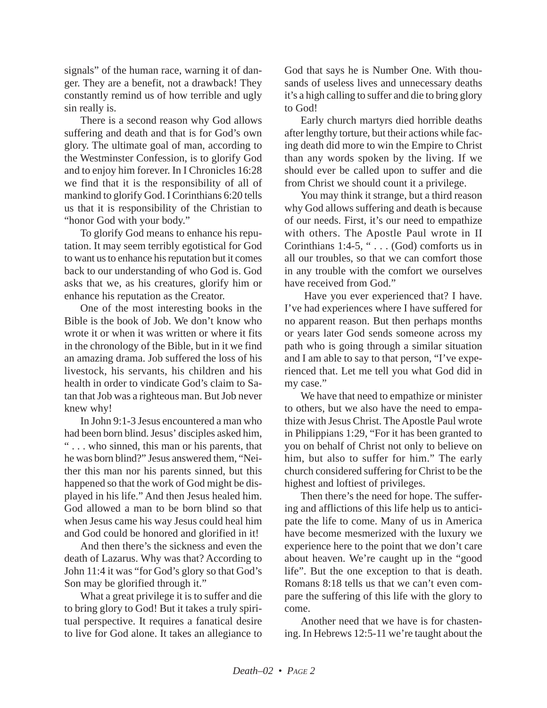signals" of the human race, warning it of danger. They are a benefit, not a drawback! They constantly remind us of how terrible and ugly sin really is.

There is a second reason why God allows suffering and death and that is for God's own glory. The ultimate goal of man, according to the Westminster Confession, is to glorify God and to enjoy him forever. In I Chronicles 16:28 we find that it is the responsibility of all of mankind to glorify God. I Corinthians 6:20 tells us that it is responsibility of the Christian to "honor God with your body."

To glorify God means to enhance his reputation. It may seem terribly egotistical for God to want us to enhance his reputation but it comes back to our understanding of who God is. God asks that we, as his creatures, glorify him or enhance his reputation as the Creator.

One of the most interesting books in the Bible is the book of Job. We don't know who wrote it or when it was written or where it fits in the chronology of the Bible, but in it we find an amazing drama. Job suffered the loss of his livestock, his servants, his children and his health in order to vindicate God's claim to Satan that Job was a righteous man. But Job never knew why!

In John 9:1-3 Jesus encountered a man who had been born blind. Jesus' disciples asked him, " . . . who sinned, this man or his parents, that he was born blind?" Jesus answered them, "Neither this man nor his parents sinned, but this happened so that the work of God might be displayed in his life." And then Jesus healed him. God allowed a man to be born blind so that when Jesus came his way Jesus could heal him and God could be honored and glorified in it!

And then there's the sickness and even the death of Lazarus. Why was that? According to John 11:4 it was "for God's glory so that God's Son may be glorified through it."

What a great privilege it is to suffer and die to bring glory to God! But it takes a truly spiritual perspective. It requires a fanatical desire to live for God alone. It takes an allegiance to God that says he is Number One. With thousands of useless lives and unnecessary deaths it's a high calling to suffer and die to bring glory to God!

Early church martyrs died horrible deaths after lengthy torture, but their actions while facing death did more to win the Empire to Christ than any words spoken by the living. If we should ever be called upon to suffer and die from Christ we should count it a privilege.

You may think it strange, but a third reason why God allows suffering and death is because of our needs. First, it's our need to empathize with others. The Apostle Paul wrote in II Corinthians 1:4-5, " $\ldots$  (God) comforts us in all our troubles, so that we can comfort those in any trouble with the comfort we ourselves have received from God."

Have you ever experienced that? I have. I've had experiences where I have suffered for no apparent reason. But then perhaps months or years later God sends someone across my path who is going through a similar situation and I am able to say to that person, "I've experienced that. Let me tell you what God did in my case."

We have that need to empathize or minister to others, but we also have the need to empathize with Jesus Christ. The Apostle Paul wrote in Philippians 1:29, "For it has been granted to you on behalf of Christ not only to believe on him, but also to suffer for him." The early church considered suffering for Christ to be the highest and loftiest of privileges.

Then there's the need for hope. The suffering and afflictions of this life help us to anticipate the life to come. Many of us in America have become mesmerized with the luxury we experience here to the point that we don't care about heaven. We're caught up in the "good life". But the one exception to that is death. Romans 8:18 tells us that we can't even compare the suffering of this life with the glory to come.

Another need that we have is for chastening. In Hebrews 12:5-11 we're taught about the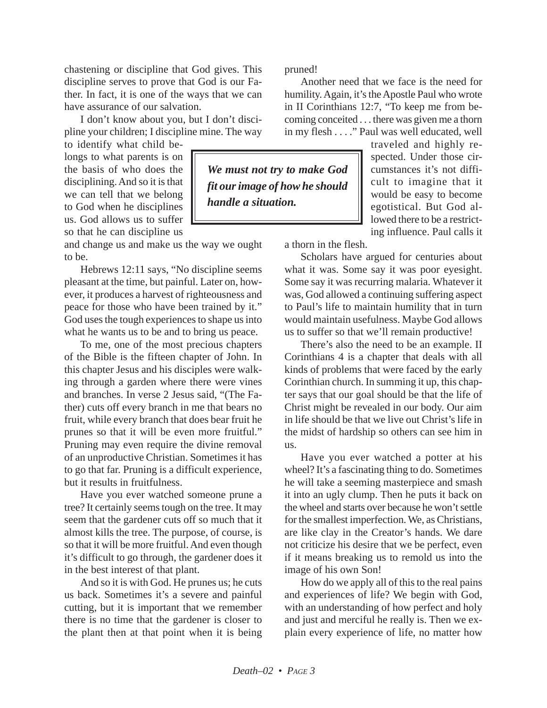chastening or discipline that God gives. This discipline serves to prove that God is our Father. In fact, it is one of the ways that we can have assurance of our salvation.

I don't know about you, but I don't discipline your children; I discipline mine. The way

to identify what child belongs to what parents is on the basis of who does the disciplining. And so it is that we can tell that we belong to God when he disciplines us. God allows us to suffer so that he can discipline us

and change us and make us the way we ought to be.

Hebrews 12:11 says, "No discipline seems pleasant at the time, but painful. Later on, however, it produces a harvest of righteousness and peace for those who have been trained by it." God uses the tough experiences to shape us into what he wants us to be and to bring us peace.

To me, one of the most precious chapters of the Bible is the fifteen chapter of John. In this chapter Jesus and his disciples were walking through a garden where there were vines and branches. In verse 2 Jesus said, "(The Father) cuts off every branch in me that bears no fruit, while every branch that does bear fruit he prunes so that it will be even more fruitful." Pruning may even require the divine removal of an unproductive Christian. Sometimes it has to go that far. Pruning is a difficult experience, but it results in fruitfulness.

Have you ever watched someone prune a tree? It certainly seems tough on the tree. It may seem that the gardener cuts off so much that it almost kills the tree. The purpose, of course, is so that it will be more fruitful. And even though it's difficult to go through, the gardener does it in the best interest of that plant.

And so it is with God. He prunes us; he cuts us back. Sometimes it's a severe and painful cutting, but it is important that we remember there is no time that the gardener is closer to the plant then at that point when it is being pruned!

Another need that we face is the need for humility. Again, it's the Apostle Paul who wrote in II Corinthians 12:7, "To keep me from becoming conceited . . . there was given me a thorn in my flesh . . . ." Paul was well educated, well

*We must not try to make God fit our image of how he should handle a situation.*

traveled and highly respected. Under those circumstances it's not difficult to imagine that it would be easy to become egotistical. But God allowed there to be a restricting influence. Paul calls it

a thorn in the flesh.

Scholars have argued for centuries about what it was. Some say it was poor eyesight. Some say it was recurring malaria. Whatever it was, God allowed a continuing suffering aspect to Paul's life to maintain humility that in turn would maintain usefulness. Maybe God allows us to suffer so that we'll remain productive!

There's also the need to be an example. II Corinthians 4 is a chapter that deals with all kinds of problems that were faced by the early Corinthian church. In summing it up, this chapter says that our goal should be that the life of Christ might be revealed in our body. Our aim in life should be that we live out Christ's life in the midst of hardship so others can see him in us.

Have you ever watched a potter at his wheel? It's a fascinating thing to do. Sometimes he will take a seeming masterpiece and smash it into an ugly clump. Then he puts it back on the wheel and starts over because he won't settle for the smallest imperfection. We, as Christians, are like clay in the Creator's hands. We dare not criticize his desire that we be perfect, even if it means breaking us to remold us into the image of his own Son!

How do we apply all of this to the real pains and experiences of life? We begin with God, with an understanding of how perfect and holy and just and merciful he really is. Then we explain every experience of life, no matter how